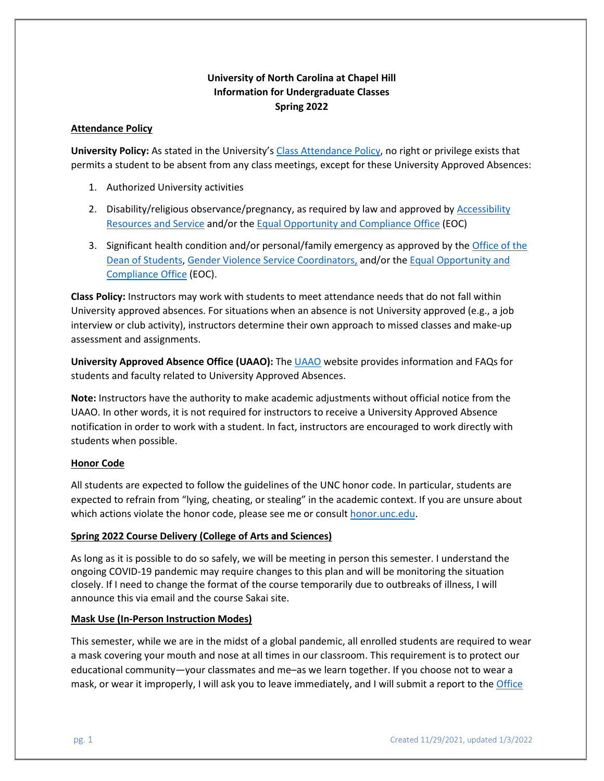# **University of North Carolina at Chapel Hill Information for Undergraduate Classes Spring 2022**

### **Attendance Policy**

**University Policy:** As stated in the University's [Class Attendance Policy,](https://catalog.unc.edu/policies-procedures/attendance-grading-examination/#text) no right or privilege exists that permits a student to be absent from any class meetings, except for these University Approved Absences:

- 1. Authorized University activities
- 2. Disability/religious observance/pregnancy, as required by law and approved by Accessibility [Resources and Service](https://ars.unc.edu/) and/or the [Equal Opportunity and Compliance Office](https://eoc.unc.edu/what-we-do/accommodations/) (EOC)
- 3. Significant health condition and/or personal/family emergency as approved by the [Office of the](https://odos.unc.edu/)  [Dean of Students,](https://odos.unc.edu/) [Gender Violence Service Coordinators,](https://womenscenter.unc.edu/resources/gender-violence-services/) and/or the [Equal Opportunity and](https://eoc.unc.edu/what-we-do/accommodations/)  [Compliance Office](https://eoc.unc.edu/what-we-do/accommodations/) (EOC).

**Class Policy:** Instructors may work with students to meet attendance needs that do not fall within University approved absences. For situations when an absence is not University approved (e.g., a job interview or club activity), instructors determine their own approach to missed classes and make-up assessment and assignments.

**University Approved Absence Office (UAAO):** Th[e UAAO](https://uaao.unc.edu/) website provides information and FAQs for students and faculty related to University Approved Absences.

**Note:** Instructors have the authority to make academic adjustments without official notice from the UAAO. In other words, it is not required for instructors to receive a University Approved Absence notification in order to work with a student. In fact, instructors are encouraged to work directly with students when possible.

# **Honor Code**

All students are expected to follow the guidelines of the UNC honor code. In particular, students are expected to refrain from "lying, cheating, or stealing" in the academic context. If you are unsure about which actions violate the honor code, please see me or consult [honor.unc.edu.](https://studentconduct.unc.edu/)

# **Spring 2022 Course Delivery (College of Arts and Sciences)**

As long as it is possible to do so safely, we will be meeting in person this semester. I understand the ongoing COVID-19 pandemic may require changes to this plan and will be monitoring the situation closely. If I need to change the format of the course temporarily due to outbreaks of illness, I will announce this via email and the course Sakai site.

# **Mask Use (In-Person Instruction Modes)**

This semester, while we are in the midst of a global pandemic, all enrolled students are required to wear a mask covering your mouth and nose at all times in our classroom. This requirement is to protect our educational community—your classmates and me–as we learn together. If you choose not to wear a mask, or wear it improperly, I will ask you to leave immediately, and I will submit a report to the [Office](https://cm.maxient.com/reportingform.php?UNCChapelHill&layout_id=23)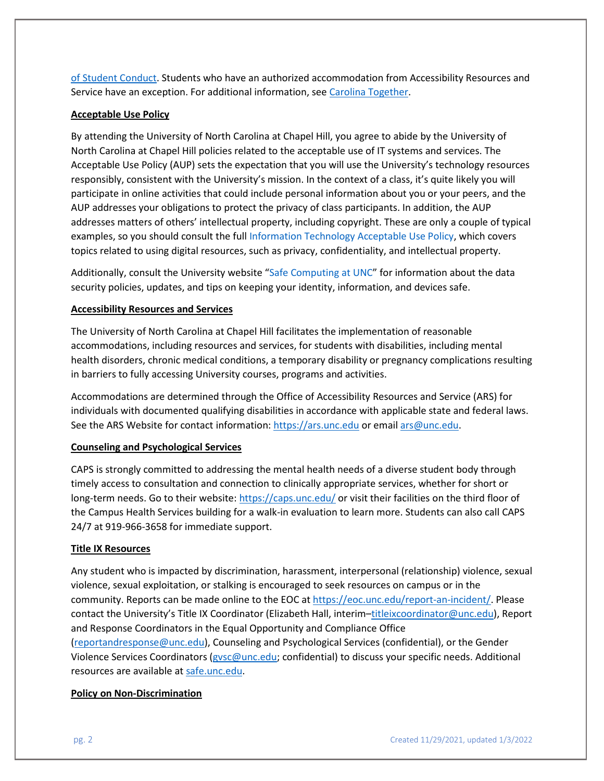[of Student Conduct.](https://cm.maxient.com/reportingform.php?UNCChapelHill&layout_id=23) Students who have an authorized accommodation from Accessibility Resources and Service have an exception. For additional information, see [Carolina Together.](https://carolinatogether.unc.edu/)

#### **Acceptable Use Policy**

By attending the University of North Carolina at Chapel Hill, you agree to abide by the University of North Carolina at Chapel Hill policies related to the acceptable use of IT systems and services. The Acceptable Use Policy (AUP) sets the expectation that you will use the University's technology resources responsibly, consistent with the University's mission. In the context of a class, it's quite likely you will participate in online activities that could include personal information about you or your peers, and the AUP addresses your obligations to protect the privacy of class participants. In addition, the AUP addresses matters of others' intellectual property, including copyright. These are only a couple of typical examples, so you should consult the full [Information Technology Acceptable Use Policy,](https://unc.policystat.com/policy/6875241/latest/) which covers topics related to using digital resources, such as privacy, confidentiality, and intellectual property.

Additionally, consult the University website ["Safe Computing at UNC"](https://safecomputing.unc.edu/) for information about the data security policies, updates, and tips on keeping your identity, information, and devices safe.

#### **Accessibility Resources and Services**

The University of North Carolina at Chapel Hill facilitates the implementation of reasonable accommodations, including resources and services, for students with disabilities, including mental health disorders, chronic medical conditions, a temporary disability or pregnancy complications resulting in barriers to fully accessing University courses, programs and activities.

Accommodations are determined through the Office of Accessibility Resources and Service (ARS) for individuals with documented qualifying disabilities in accordance with applicable state and federal laws. See the ARS Website for contact information: [https://ars.unc.edu](https://ars.unc.edu/) or email [ars@unc.edu.](mailto:ars@unc.edu)

#### **Counseling and Psychological Services**

CAPS is strongly committed to addressing the mental health needs of a diverse student body through timely access to consultation and connection to clinically appropriate services, whether for short or long-term needs. Go to their website: <https://caps.unc.edu/> or visit their facilities on the third floor of the Campus Health Services building for a walk-in evaluation to learn more. Students can also call CAPS 24/7 at 919-966-3658 for immediate support.

#### **Title IX Resources**

Any student who is impacted by discrimination, harassment, interpersonal (relationship) violence, sexual violence, sexual exploitation, or stalking is encouraged to seek resources on campus or in the community. Reports can be made online to the EOC at [https://eoc.unc.edu/report-an-incident/.](https://eoc.unc.edu/report-an-incident/) Please contact the University's Title IX Coordinator (Elizabeth Hall, interim[–titleixcoordinator@unc.edu\)](mailto:titleixcoordinator@unc.edu), Report and Response Coordinators in the Equal Opportunity and Compliance Office [\(reportandresponse@unc.edu\)](mailto:reportandresponse@unc.edu), Counseling and Psychological Services (confidential), or the Gender Violence Services Coordinators [\(gvsc@unc.edu;](mailto:gvsc@unc.edu) confidential) to discuss your specific needs. Additional resources are available at [safe.unc.edu.](https://safe.unc.edu/)

#### **Policy on Non-Discrimination**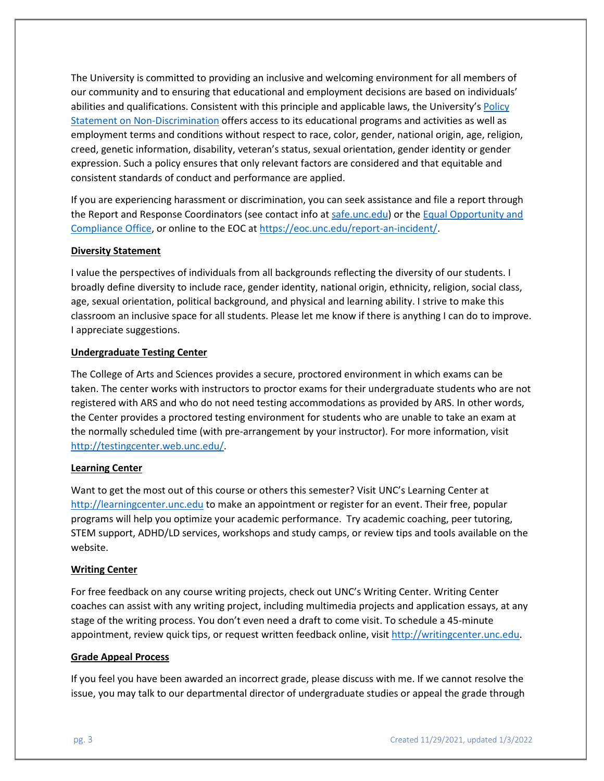The University is committed to providing an inclusive and welcoming environment for all members of our community and to ensuring that educational and employment decisions are based on individuals' abilities and qualifications. Consistent with this principle and applicable laws, the University's [Policy](https://unc.policystat.com/policy/4467906/latest/)  [Statement on Non-Discrimination](https://unc.policystat.com/policy/4467906/latest/) offers access to its educational programs and activities as well as employment terms and conditions without respect to race, color, gender, national origin, age, religion, creed, genetic information, disability, veteran's status, sexual orientation, gender identity or gender expression. Such a policy ensures that only relevant factors are considered and that equitable and consistent standards of conduct and performance are applied.

If you are experiencing harassment or discrimination, you can seek assistance and file a report through the Report and Response Coordinators (see contact info at [safe.unc.edu\)](https://safe.unc.edu/) or the Equal Opportunity and Compliance Office, or online to the EOC at [https://eoc.unc.edu/report-an-incident/.](https://eoc.unc.edu/report-an-incident/)

### **Diversity Statement**

I value the perspectives of individuals from all backgrounds reflecting the diversity of our students. I broadly define diversity to include race, gender identity, national origin, ethnicity, religion, social class, age, sexual orientation, political background, and physical and learning ability. I strive to make this classroom an inclusive space for all students. Please let me know if there is anything I can do to improve. I appreciate suggestions.

### **Undergraduate Testing Center**

The College of Arts and Sciences provides a secure, proctored environment in which exams can be taken. The center works with instructors to proctor exams for their undergraduate students who are not registered with ARS and who do not need testing accommodations as provided by ARS. In other words, the Center provides a proctored testing environment for students who are unable to take an exam at the normally scheduled time (with pre-arrangement by your instructor). For more information, visit [http://testingcenter.web.unc.edu/.](http://testingcenter.web.unc.edu/)

### **Learning Center**

Want to get the most out of this course or others this semester? Visit UNC's Learning Center at [http://learningcenter.unc.edu](http://learningcenter.unc.edu/) to make an appointment or register for an event. Their free, popular programs will help you optimize your academic performance. Try academic coaching, peer tutoring, STEM support, ADHD/LD services, workshops and study camps, or review tips and tools available on the website.

### **Writing Center**

For free feedback on any course writing projects, check out UNC's Writing Center. Writing Center coaches can assist with any writing project, including multimedia projects and application essays, at any stage of the writing process. You don't even need a draft to come visit. To schedule a 45-minute appointment, review quick tips, or request written feedback online, visit [http://writingcenter.unc.edu.](http://writingcenter.unc.edu/)

### **Grade Appeal Process**

If you feel you have been awarded an incorrect grade, please discuss with me. If we cannot resolve the issue, you may talk to our departmental director of undergraduate studies or appeal the grade through